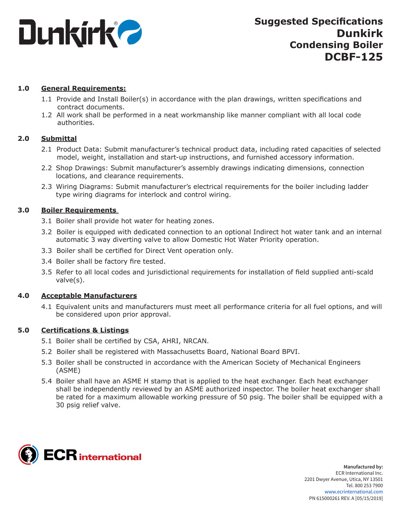

### **1.0 General Requirements:**

- 1.1 Provide and Install Boiler(s) in accordance with the plan drawings, written specifications and contract documents.
- 1.2 All work shall be performed in a neat workmanship like manner compliant with all local code authorities.

### **2.0 Submittal**

- 2.1 Product Data: Submit manufacturer's technical product data, including rated capacities of selected model, weight, installation and start-up instructions, and furnished accessory information.
- 2.2 Shop Drawings: Submit manufacturer's assembly drawings indicating dimensions, connection locations, and clearance requirements.
- 2.3 Wiring Diagrams: Submit manufacturer's electrical requirements for the boiler including ladder type wiring diagrams for interlock and control wiring.

### **3.0 Boiler Requirements**

- 3.1 Boiler shall provide hot water for heating zones.
- 3.2 Boiler is equipped with dedicated connection to an optional Indirect hot water tank and an internal automatic 3 way diverting valve to allow Domestic Hot Water Priority operation.
- 3.3 Boiler shall be certified for Direct Vent operation only.
- 3.4 Boiler shall be factory fire tested.
- 3.5 Refer to all local codes and jurisdictional requirements for installation of field supplied anti-scald valve(s).

### **4.0 Acceptable Manufacturers**

4.1 Equivalent units and manufacturers must meet all performance criteria for all fuel options, and will be considered upon prior approval.

### **5.0 Certifications & Listings**

- 5.1 Boiler shall be certified by CSA, AHRI, NRCAN.
- 5.2 Boiler shall be registered with Massachusetts Board, National Board BPVI.
- 5.3 Boiler shall be constructed in accordance with the American Society of Mechanical Engineers (ASME)
- 5.4 Boiler shall have an ASME H stamp that is applied to the heat exchanger. Each heat exchanger shall be independently reviewed by an ASME authorized inspector. The boiler heat exchanger shall be rated for a maximum allowable working pressure of 50 psig. The boiler shall be equipped with a 30 psig relief valve.

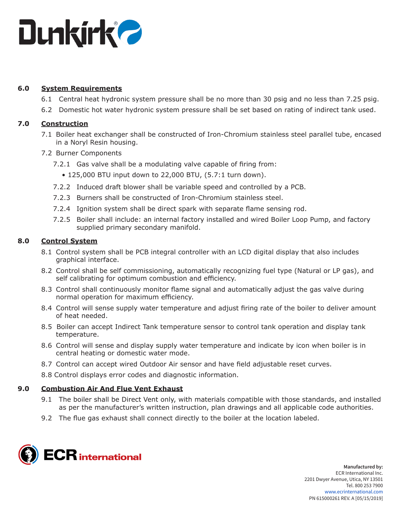

## **6.0 System Requirements**

- 6.1 Central heat hydronic system pressure shall be no more than 30 psig and no less than 7.25 psig.
- 6.2 Domestic hot water hydronic system pressure shall be set based on rating of indirect tank used.

## **7.0 Construction**

- 7.1 Boiler heat exchanger shall be constructed of Iron-Chromium stainless steel parallel tube, encased in a Noryl Resin housing.
- 7.2 Burner Components
	- 7.2.1 Gas valve shall be a modulating valve capable of firing from:
		- 125,000 BTU input down to 22,000 BTU, (5.7:1 turn down).
	- 7.2.2 Induced draft blower shall be variable speed and controlled by a PCB.
	- 7.2.3 Burners shall be constructed of Iron-Chromium stainless steel.
	- 7.2.4 Ignition system shall be direct spark with separate flame sensing rod.
	- 7.2.5 Boiler shall include: an internal factory installed and wired Boiler Loop Pump, and factory supplied primary secondary manifold.

# **8.0 Control System**

- 8.1 Control system shall be PCB integral controller with an LCD digital display that also includes graphical interface.
- 8.2 Control shall be self commissioning, automatically recognizing fuel type (Natural or LP gas), and self calibrating for optimum combustion and efficiency.
- 8.3 Control shall continuously monitor flame signal and automatically adjust the gas valve during normal operation for maximum efficiency.
- 8.4 Control will sense supply water temperature and adjust firing rate of the boiler to deliver amount of heat needed.
- 8.5 Boiler can accept Indirect Tank temperature sensor to control tank operation and display tank temperature.
- 8.6 Control will sense and display supply water temperature and indicate by icon when boiler is in central heating or domestic water mode.
- 8.7 Control can accept wired Outdoor Air sensor and have field adjustable reset curves.
- 8.8 Control displays error codes and diagnostic information.

# **9.0 Combustion Air And Flue Vent Exhaust**

- 9.1 The boiler shall be Direct Vent only, with materials compatible with those standards, and installed as per the manufacturer's written instruction, plan drawings and all applicable code authorities.
- 9.2 The flue gas exhaust shall connect directly to the boiler at the location labeled.